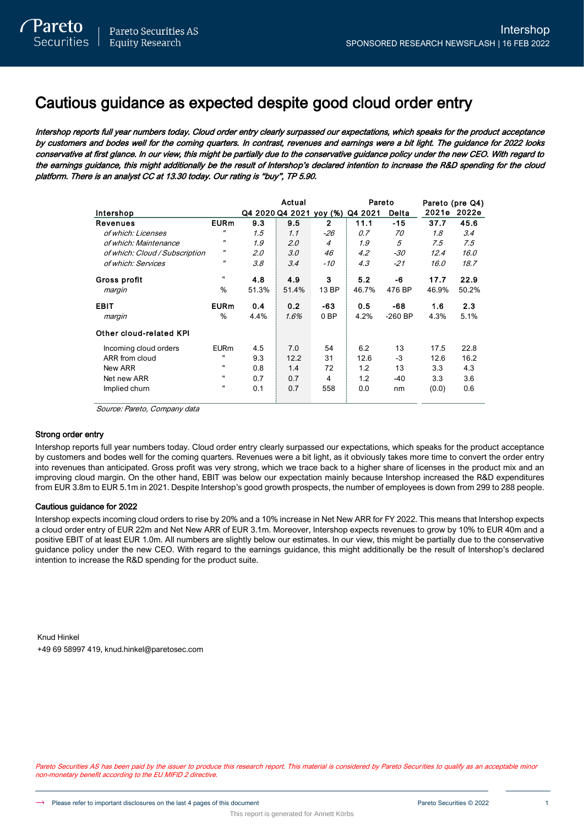# Cautious guidance as expected despite good cloud order entry

Intershop reports full year numbers today. Cloud order entry clearly surpassed our expectations, which speaks for the product acceptance by customers and bodes well for the coming quarters. In contrast, revenues and earnings were a bit light. The guidance for 2022 looks conservative at first glance. In our view, this might be partially due to the conservative guidance policy under the new CEO. With regard to the earnings guidance, this might additionally be the result of Intershop's declared intention to increase the R&D spending for the cloud platform. There is an analyst CC at 13.30 today. Our rating is "buy", TP 5.90.

|                                |                   |       | Actual                          |                 | Pareto |           |       | Pareto (pre Q4) |
|--------------------------------|-------------------|-------|---------------------------------|-----------------|--------|-----------|-------|-----------------|
| Intershop                      |                   |       | Q4 2020 Q4 2021 yoy (%) Q4 2021 |                 |        | Delta     | 2021e | 2022e           |
| <b>Revenues</b>                | <b>EURm</b>       | 9.3   | 9.5                             | $\mathbf{2}$    | 11.1   | $-15$     | 37.7  | 45.6            |
| of which: Licenses             | $^{\prime\prime}$ | 1.5   | 1.1                             | $-26$           | 0.7    | 70        | 1.8   | 3.4             |
| of which: Maintenance          | $^{\prime\prime}$ | 1.9   | 2.0                             | $\overline{4}$  | 1.9    | 5         | 7.5   | 7.5             |
| of which: Cloud / Subscription | $^{\prime\prime}$ | 2.0   | 3.0                             | 46              | 4.2    | $-30$     | 12.4  | 16.0            |
| of which: Services             | $^{\prime\prime}$ | 3.8   | 3.4                             | -10             | 4.3    | $-21$     | 16.0  | 18.7            |
| Gross profit                   | п                 | 4.8   | 4.9                             | 3               | 5.2    | -6        | 17.7  | 22.9            |
| margin                         | %                 | 51.3% | 51.4%                           | 13 BP           | 46.7%  | 476 BP    | 46.9% | 50.2%           |
| <b>EBIT</b>                    | <b>EURm</b>       | 0.4   | 0.2                             | -63             | 0.5    | -68       | 1.6   | 2.3             |
| margin                         | $\%$              | 4.4%  | 1.6%                            | 0 <sub>BP</sub> | 4.2%   | $-260$ BP | 4.3%  | 5.1%            |
| Other cloud-related KPI        |                   |       |                                 |                 |        |           |       |                 |
| Incoming cloud orders          | <b>EURm</b>       | 4.5   | 7.0                             | 54              | 6.2    | 13        | 17.5  | 22.8            |
| ARR from cloud                 | $\mathbf{u}$      | 9.3   | 12.2                            | 31              | 12.6   | $-3$      | 12.6  | 16.2            |
| New ARR                        | $\mathbf{u}$      | 0.8   | 1.4                             | 72              | 1.2    | 13        | 3.3   | 4.3             |
| Net new ARR                    | п                 | 0.7   | 0.7                             | 4               | 1.2    | -40       | 3.3   | 3.6             |
| Implied churn                  |                   | 0.1   | 0.7                             | 558             | 0.0    | nm        | (0.0) | 0.6             |

Source: Pareto, Company data

## Strong order entry

Intershop reports full year numbers today. Cloud order entry clearly surpassed our expectations, which speaks for the product acceptance by customers and bodes well for the coming quarters. Revenues were a bit light, as it obviously takes more time to convert the order entry into revenues than anticipated. Gross profit was very strong, which we trace back to a higher share of licenses in the product mix and an improving cloud margin. On the other hand, EBIT was below our expectation mainly because Intershop increased the R&D expenditures from EUR 3.8m to EUR 5.1m in 2021. Despite Intershop's good growth prospects, the number of employees is down from 299 to 288 people.

## Cautious guidance for 2022

Intershop expects incoming cloud orders to rise by 20% and a 10% increase in Net New ARR for FY 2022. This means that Intershop expects a cloud order entry of EUR 22m and Net New ARR of EUR 3.1m. Moreover, Intershop expects revenues to grow by 10% to EUR 40m and a positive EBIT of at least EUR 1.0m. All numbers are slightly below our estimates. In our view, this might be partially due to the conservative guidance policy under the new CEO. With regard to the earnings guidance, this might additionally be the result of Intershop's declared intention to increase the R&D spending for the product suite.

Knud Hinkel +49 69 58997 419, knud.hinkel@paretosec.com

Pareto Securities AS has been paid by the issuer to produce this research report. This material is considered by Pareto Securities to qualify as an acceptable minor non-monetary benefit according to the EU MIFID 2 directive.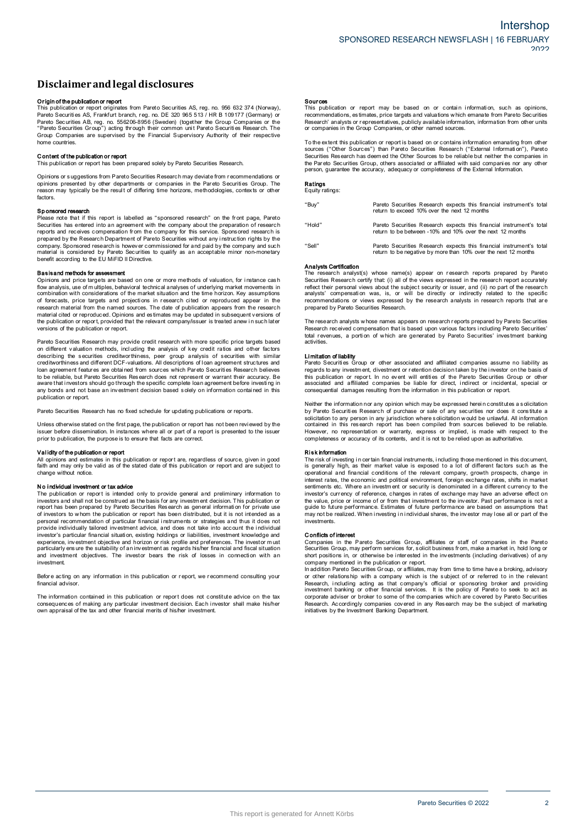# **Disclaimerandlegal disclosures Disclaimer and legal disclosures<br>Originof the publication or report<br>This publication or report originates from Pareto Securities AS, reg. no. 956 632 374 (Norway),**

**DISCIAIMET AND IEgal dISCIOSUTES**<br>This publication or report<br>This publication or report originates from Pareto Securities AS, reg. no. 956 632 374 (Norway)<br>Pareto Securities AS, Frankfurt branch, reg. no. DE 320 965 513 / Pareto Securities AB, reg. no. 556206-8956 (Sweden) (together the Group Companies or the **Origin of the publication or report**<br>This publication or report originates from Pareto Securities AS, reg. no. 956 632 374 (Norway),<br>Pareto Securities AS, Frankfurt branch, reg. no. DE 320 965 513 / HR B 109177 (Germany) This publication or report originates from Pareto Securities AS, reg. no. 956 632 374 (Norway), Pareto Securities AS, Frankfurt branch, reg. no. DE 320 965 513 / HR B 109177 (Germany) or Pareto Securities AB, reg. no. 5562 home countries. C ontent of the publication of the publication<br>Group Companies are supervised<br>home countries.<br>Content of the publication or report<br>This publication or report has been The coup Companies are supervised by the Financial Supervisory Authority of their respective<br>home countries.<br>**Content of the publication or report**<br>This publication or report<br>This publication or report as been prepared sol

Opinions or s uggestions from Pareto Securities Research may deviate from r ecommendations or **Content of the publication or report**<br>This publication or report has been prepared solely by Pareto Securities Research.<br>Opinions or suggestions from Pareto Securities Research may deviate from recommendations or<br>periodis factors. Sphintins presented by other departments or companies in the Pareto Securities Group. The reason may typically be the result of differing time horizons, methodologies, contexts or other factors.<br>**Sponsored research**<br>Please

Factors.<br> **Sponsored research**<br>
Please note that if this report is labelled as "sponsored research" on the front page, Pareto<br>
Securities has entered into an agreement with the company about the preparation of research<br>
Pl prepared by the Research Department of Pareto Securities without any instruction rights by the company. Sponsored research is however commissioned for and paid by the company and such material is considered by Pareto Secur

company and is considered by Pareto Securities to quality as an acceptable minor non-monetary<br>benefit according to the EU MiFID II Directive.<br>**Basisand methods for assessment**<br>Opinions and price targets are based on one or research material from the named sources. The date of publication appears from the research material cited or reproduced. Opinions and estimates may be updated in subsequent versions of flow analysis, use of multiples, behavioral technical analyses of underlying market movements in combination with considerations of the market situation and the time horizon. Key assumptions of forecasts. price targets and the combination with considerations of the market situation and the time horizon. Key assumptions of forecasts, price targets and projections in research cited or reproduced appear in the research material from the named s

Pareto Securities Research may provide credit research with more specific price targets based on different valuation methods, including the analysis of key credit ratios and other factors on different valuation or report, provided that the relevant company/issuer is treated anew in such later<br>versions of the publication or report.<br>Pareto Securities Research may provide credit research with more specific pri Persions of the publication or report.<br>Pareto Securities Research may provide credit research with more specific price targets based<br>on different valuation methods, including the analysis of key credit ratios and other fac loan agreement features are obtained from sources which Pareto Securities Research believes<br>to be reliable, but Pareto Securities Research does not represent or warrant their accuracy. Be<br>aware that investors should go thr publication or report.

Pareto Securities Research has no fixed schedule for updating publications or reports.

any but also an interested an investment decision based body on information or reports.<br>Pareto Securities Research has no fixed schedule for updating publications or reports.<br>Unless otherwise stated on the first page, the Unless otherwise stated on the first page, the publication or report has not been reviewed by the issuer before dissemination. In instances where all or part of a report is presented to the issuer prior to publication, the

faith and may only be valid as of the state and what call extends a performed to the issuer<br> **Validity of the publication or report**<br>
All opinions and estimates in this publication or report are, regardless of source, give change without notice. **N and publication or investment or tax advice**<br>All opinions and estimates in this publication or report are, regardless of source, given in good<br>faith and may only be valid as of the stated date of this publication or rep

Change without notice.<br>
No Individual Investment or tax advice<br>
The publication or report is intended only to provide general and preliminary information to<br>
The publication or report is intended only to provide general an The parameter of the constructed as the basis for any investment and purchasting in interestions and shall not be construed as the basis for any investment decision. This publication or report has been prepared by Pareto S investment. experience, investment objective and horizon or risk profile and preferences. The investor must particularly ensure the suitability of an investment as regards his/her financial and fiscal situation and investment objectiv

financial advisor

Investment<br>Before acting on any information in this publication or report, we recommend consulting your<br>financial advisor.<br>Consequences of making any particular investment decision. Each investor shall make his/her<br>consequ

**Sources**<br>This publication or report may be based on or contain information, such as opinions<br>recommendations, estimates, price targets and valuations which emanate from Pareto Securities<br>Research' analysts or representati The extent this publication or report is based on or contains which emanate from Pareto Securities<br>
Research' analysts or representatives, publicly available information, information from other units<br>
or companies in the G

Securities Res earch the Group Companies, or other named sources.<br>To the extent this publication or report is based on or contains information emanating from other<br>Sources ("Other Sources") than Pareto Securities Research person, guarantee the accuracy, adequacy or completeness of the External Information.

### Ratings Equity ratings:

| "Buy"  | Pareto Securities Research expects this financial instrument's total<br>return to exceed 10% over the next 12 months                   |
|--------|----------------------------------------------------------------------------------------------------------------------------------------|
| "Hold" | Pareto Securities Research expects this financial instrument's total<br>return to be between -10% and 10% over the next 12 months      |
| "Sell" | Pareto Securities Research expects this financial instrument's total<br>return to be negative by more than 10% over the next 12 months |

### Analysts Certification

Anarysus Conuncauon<br>The research analyst(s) whose name(s) appear on research reports prepared by Pareto Figure 1.12 months<br>
Securities Research certify that: (i) all of the views expressed in the research report accurately<br>
reflect their personal views about the subject security or issuer, and (ii) no part of the research<br>
r Analysts Certification<br>The research analyst(s) whose name(s) appear on research reports prepared by Pareto<br>Securities Research certify that (i) all of the views expressed in the research report accurately<br>reflect their per

contract that propersation was, is, or will be directly or indirectly related to the specific<br>recommendations or views expressed by the research analysts in research reports that are<br>prepared by Pareto Securities Research. activities. Research received contains<br>Research received contains a pactivities.<br>Limitation of liability<br>Pareto Securities G total revenues, a portion of which are generated by Pareto Securities' investment banking<br>activities.<br> **Limitation of liability**<br>
Pareto Securities Group or other associated and affiliated companies assume no liability as<br>

activities.<br> **Limitation of liability**<br> **Pareto Securities** Group or other associated and affiliated companies assume no liability as<br>
regards to any investment, divestment or retention decision taken by the investor on th Neither the information or report. In no event will entities of the Pareto Securities Group or other<br>associated and affiliated companies be liable for direct, indirect or incidental, special or<br>consequential damages result

consequential damages resulting from the information in this publication or report.<br>Neither the information nor any opinion which may be expressed herein constitutes a solicitation<br>by Pareto Securities Research of purchase contained in this research report has been compiled from sources believed to be reliable. Neither the information nor any opinion which may be expressed herein constitutes a solicitation by Pareto Securities Research of purchase or sale of any securities nor does it constitute a solicitation to any person in an Solution of the risk information in the risk of the risk of the risk of the risk of the risk of the risk information or warranty, express or implied, is made with respect to the completeness or accuracy of its contents, an

completeness or accuracy of its contents, and it is not to be relied upon as authoritative.<br> **Risk hformation**<br> **Risk hformation**<br> **Risk hformation**<br> **Risk hformation**<br> **Risk hformation**<br> **Risk hformation**<br> **Risk hformatio** is generally high, as their market value is exposed to a lot of different factors such as the operational and financial conditions of the relevant company, growth prospects, change in investments rates, the economic and po guide to future performance. Estimates of future performance are based on assumptions that marks traces, the continuous and pollonial shares, the continents etc. Where an investment of security is denominated in a different currency to the investor's currency of reference, changes in rates of exchange may have a investments. and value, price of<br>guide to future perf<br>may not be realized<br>investments.<br>**Conflicts of interest**<br>Companies in the

grave of the realized. When investing in individual shares, the investor may lose all or part of the<br>investments.<br>Conflicts of interest<br>Comparises in the Pareto Securities Group, affiliates or staff of companies in the Par Companies in the Pareto Securities Group, affiliates or staff of companies in the Pareto Securities Group, may perform services for, solicit business from, make a market in, hold long or company mentioned in the publicatio

short positions in, or otherwise be interested in the investments (including derivatives) of any<br>short positions in, or otherwise be interested in the investments (including derivatives) of any<br>company mentioned is depende or other relationship with a company which is the subject of or referred to in the relevant Research, including acting as that company's official or sponsoring broker and providing investment banking or other financial ser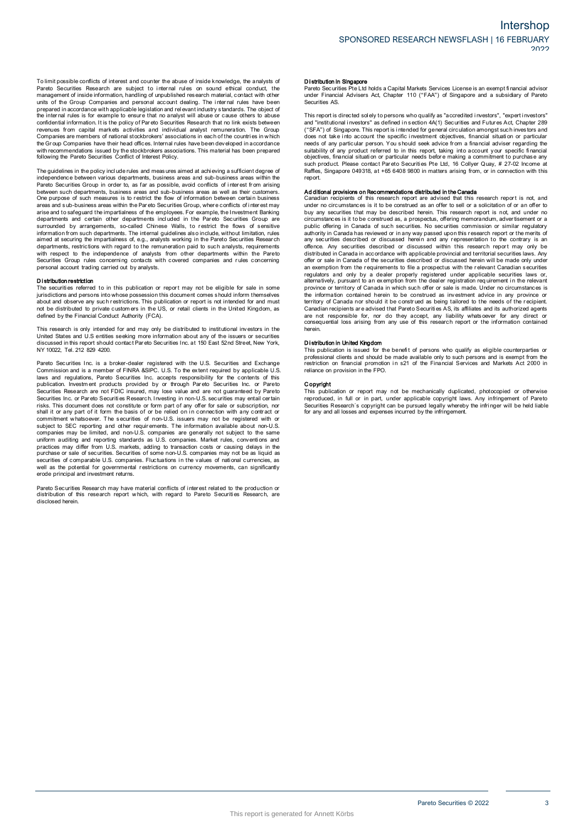independence between various departments, business areas and sub-business areas within the<br>Pareto Securities Group in order to, as far as possible, avoid conflicts of interest from arising Following the Pareto Securities Conflict of Interest Policy.<br>The guidelines in the policy include rules and measures aimed at achieving a sufficient degree of<br>independence between various departments, business areas and su between such departments, business areas and sub-business areas as well as their customers. The guidelines in the policy include rules and measures aimed at achieving a sufficient degree of<br>independence between various departments, business areas and sub-business areas within the<br>Pareto Securities Group in order areas and sub-business areas within the Pareto Securities Group, where conflicts of interest may arise and to safeguard the impartialness of the employees. For example, the Investment Banking departments and certain other areas and sub-business areas within the Pareto Securities Group, where conflicts of interest may<br>areas and sub-business areas within the Pareto Securities Group, where conflicts of interest may<br>arise and to safeguard the i with respect to the independence of analysts from other departments within the Pareto Securities Group and departments. The internal guidelines also include, without limitation, rules aimed at security the impartialness of, e.g., analysts working in the Pareto Securities Research departments, restrictions w mioniano in such ceparations. The interiar<br>aimed at securing the impartialness of, e.g., analysts.<br>departments, restrictions with regard to the ren<br>Securities Group rules concerning contacts w<br>personal account trading carr structure in the independence of analysts from other departments within the Pareto<br>Securities Group rules concerning contacts with covered companies and rules concerning<br>personal account trading carried out by analysts.<br>Th

**Distribution restriction**<br>The securities referred to in this publication or report may not be eligible for sale in some<br>jurisdictions and persons into whose possession this document comes s hould inform themselves **Distribution restriction**<br>The securities referred to in this publication or report may not be eligible for sale in some<br>initial citions and persons into whose possession this document comes should inform themselves<br>about This research is only intended for and must be distributed to private intended for and must<br>not be distributed to private customers in the US, or retail clients in the United Kingdom, as<br>defined by the Financial Conduct Au

United States and U.S entities seeking more information about any of the issuers or securities Note that the financial Conduct Authority (FCA).<br>This research is only intended for and may only be distributed to institutional investors in the<br>United States and U.S entities seking more information about any of the issu Pareto Securities Inc. is a broker-dealer registered with the U.S. Securities inc. in the same of securities discussed in this report should contact Pareto Securities Inc. at 150 East 52nd Street, New York, NY 10022, Tel.

of also used in this report should contact Pareto Securities Inc. at 150 East 52nd Street, New York, NY 10022, Tel. 212 829 4200.<br>NY 10022, Tel. 212 829 4200.<br>Commission and is a member of FINRA &SIPC. U.S. To the extent r Pareto Securities Inc. is a broker-dealer registered with the U.S. Securities and Exchange<br>Commission and is a member of FINRA &SIPC. U.S. To the extent required by applicable U.S<br>Idwas and regulations, Pareto Securities I Securities Research are not FDIC insured, may lose value and are not guaranteed by Pareto<br>Securities Research are not FDIC insured, may lose value and are not guaranteed by Pareto<br>Securities Inc. or Pareto Securities Resea prominent whatsoever. The securities of non-U.S. issuers may not be registered with or subject to SEC reporting and other requirements. The information available about non-U.S. companies may be limited, and non-U.S. compan securities of comparies may be limited, and non-U.S. companies are generally not subject to the same<br>uniform auditing and reporting standards as U.S. companies. Market rules, conventions and<br>practices may differ form U.S. erode principal and investment returns. pareto Securities of comparable U.S. comparises. Fluctuations in the values of rational currencies, as<br>well as the potential for governmental restrictions on currency movements, can significantly<br>erode principal and invest

disclosed herein.

ا الاسترات<br>Pareto Securities Pte Ltd holds a Capital Markets Services License is an exempt financial advisor<br>Pareto Securities Pte Ltd holds a Capital Markets Services License is an exempt financial advisor<br>under Financia under Financial Advisers Act, Chapter 110 ("FAA") of Singapore and a subsidiary of Pareto Securities AS. Pareto Securities Pte Ltd holds a Capital Markets Services License is an exempt financial advisor<br>under Financial Advisers Act, Chapter 110 ("FAA") of Singapore and a subsidiary of Pareto<br>Securities AS.<br>This report is dire

ration contains and a subsidiary of Parent uncertained solutions and a subsidiary of Parent<br>securities AS.<br>This report is directed solely to persons who qualify as "accredited investors", "expert investors"<br>and "institutio and "institutional investors" as defined in section 4A(1) Securities and Futures Act, Chapter 289<br>("SFA") of Singapore. This report is intended for general circulation amongst such investors and<br>("SFA") of Singapore. This report.

such product. Please contact Pareto Securities Pte Ltd, 16 Collyer Quay, # 27-02 Income at Raffles, Singapore 049318, at +65 6408 9800 in matters arising from, or in connection with this report.<br> **Additional provisions on** under no circumstances is it to be construed as an offer to sell or a solicitation of or an offer to buy any securities that may be described herein. This research report is not, and under no circumstances is it to be cons under no circumstances is it to be construed as an offer to sell or a solicitation of or an offer to<br>buy any securities that may be described herein. This research report is not, and under no<br>circumstances is it to be cons offence. Any securities described or discussed within this research report may only be distributed in Canada in accordance with applicable provincial and territorial securities laws. Any offer or sale in Canada of the secu offence. Any securities described or discussed within this research report may only be distributed in Canada in accordance with applicable provincial and territorial securities laws. Any offer or sale in Canada of the secu province or territory of Canada in which such offer or sale is made. Under no circumstances is<br>the information contained herein to be construed as being tailored to the needs of the recipient.<br>Carritory of Canada nor shoul are province or territory of Canada in which such offer or sale is made. Under no circumstances is the information contained herein to be construed as being tailored to the needs of the recipient. Canadian recipients are a herein. benefit and the stribution in United Kingdom<br>This publication is united Kingdom<br>Distribution in United Kingdom<br>This publication is issued for the benefit of persons who qualify as eligible counterparties or<br>professional cl

professional clients and should be made available only to such persons and is exempt from the metriction on financial promotion in s21 of the Financial Services and Markets Act 2000 in reliance on provision in the FPO. The professional clients and should be made available only to such persons and is exempt from the restriction on financial promotion in s21 of the Financial Services and Markets Act 2000 in reliance on provision in the FPO

reliance on provision in the FPO.<br> **Copyright**<br>
This publication or report may not be mechanically duplicated, photocopied or otherwise<br>
reproduced, in full or in part, under applicable copyright laws. Any infringement of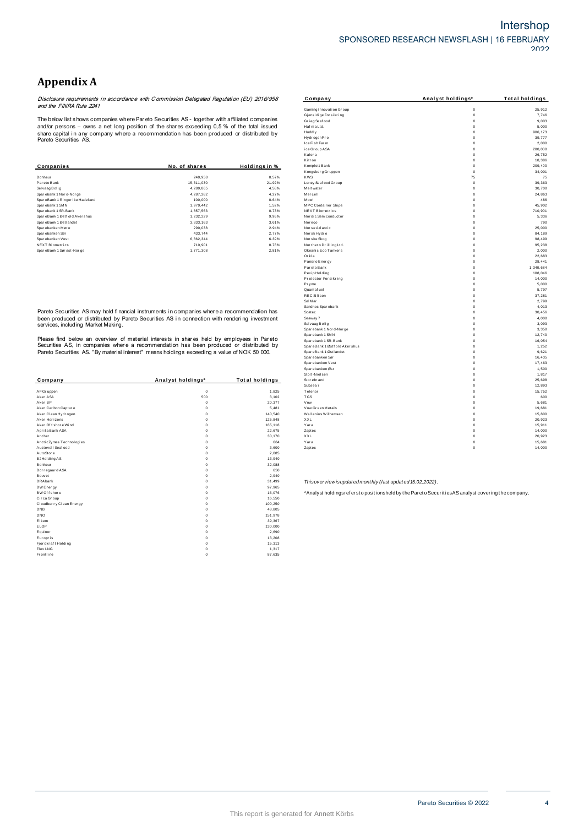# **Appendix A**

**Appendix A**<br>Disclosure requirements in accordance with Commission Delegated Regulation (EU) 2016/958<br>and the FINRA Rule 2241

|               |               | Kitron                  | $\Omega$    | 18,386  |
|---------------|---------------|-------------------------|-------------|---------|
| No. of shares | Holdings in % | Komplett Bank           |             | 209,400 |
|               |               | Kongsberg Gruppen       | $\mathbf 0$ | 34,00   |
| 240,958       | 0.57%         | <b>KWS</b>              | 75          | 7:      |
| 15,311,030    | 21.92%        | Ler øy Seaf ood Gr oup  | $\mathbf 0$ | 39,36   |
| 4,289,865     | 4.58%         | Meltwater               | $\Omega$    | 30,70   |
| 4,287,282     | 4.27%         | Mercell                 | $\Omega$    | 24,86   |
| 100,000       | 0.64%         | Mowi                    | $^{\circ}$  | 48      |
| 1,970,442     | 1.52%         | MPC Container Ships     | $^{\circ}$  | 45,90   |
| 1,857,563     | 0.73%         | <b>NEXT Biometrics</b>  | $\Omega$    | 710,90  |
| 1,232,229     | 9.95%         | Nor dic Semi conductor  | $\Omega$    | 5,33    |
| 3,833,163     | 3.61%         | Noreco                  |             | 79      |
| 290,038       | 2.94%         | Norse Atlantic          | $\Omega$    | 25,000  |
| 433,744       | 2.77%         | Norsk Hydro             | $\Omega$    | 84,189  |
| 6,862,344     | 6.39%         | Nor ske Skog            | $\Omega$    | 98,49   |
| 710.901       | 0.78%         | Nor thern Drilling Ltd. | $\Omega$    | 95,23   |
| 1,771,308     | 2.81%         | Okeanis Eco Tankers     | 0           | 2,00    |
|               |               |                         |             |         |

|                          |                   |                       | <b>OF OIL LAT CLOCK</b>                                   |                                                                                                   | 1,01   |
|--------------------------|-------------------|-----------------------|-----------------------------------------------------------|---------------------------------------------------------------------------------------------------|--------|
| Company                  | Analyst holdings* | <b>Total holdings</b> | Stor ebr and                                              | $\Omega$                                                                                          | 25,69  |
|                          |                   |                       | Subsea 7                                                  | $\Omega$                                                                                          | 12,89  |
| AF Gr uppen              | $\mathbf 0$       | 1,825                 | Telenor                                                   | $\Omega$                                                                                          | 15,75  |
| Aker ASA                 | 500               | 3,102                 | <b>TGS</b>                                                | $\Omega$                                                                                          | 60     |
| Aker BP                  | $^{\circ}$        | 20,377                | Vow                                                       | $\Omega$                                                                                          | 5,68   |
| Aker Carbon Capture      | $\Omega$          | 5,481                 | Vow Green Metals                                          | $\Omega$                                                                                          | 19,68  |
| Aker Clean Hydrogen      | $\Omega$          | 140,540               | Wallenius Wilhemsen                                       | $\Omega$                                                                                          | 15,80  |
| Aker Horizons            |                   | 125,848               | XXL                                                       | $\mathbf 0$                                                                                       | 20,92  |
| Aker Of f shore Wind     |                   | 165,118               | Yara                                                      | $\Omega$                                                                                          | 15,91  |
| Aprila Bank ASA          |                   | 22,675                | Zaptec                                                    | $\Omega$                                                                                          | 14,000 |
| Archer                   |                   | 30,170                | XXL                                                       | $\Omega$                                                                                          | 20,92  |
| ArcticZymes Technologies |                   | 684                   | Yara                                                      | $\mathbf 0$                                                                                       | 15,68  |
| Austevoll Seaf ood       |                   | 3,600                 | Zaptec                                                    | $\mathbf 0$                                                                                       | 14,000 |
| AutoStore                |                   | 2,085                 |                                                           |                                                                                                   |        |
| B2Holding AS             |                   | 13,940                |                                                           |                                                                                                   |        |
| Bonheur                  |                   | 32,088                |                                                           |                                                                                                   |        |
| Borregaard ASA           |                   | 650                   |                                                           |                                                                                                   |        |
| Bouvet                   |                   | 2,940                 |                                                           |                                                                                                   |        |
| <b>BRAbank</b>           |                   | 31,499                | Thisoverview isupdated monthly (last updated 15.02.2022). |                                                                                                   |        |
| BW Energy                |                   | 97,965                |                                                           |                                                                                                   |        |
| BW Of f shore            |                   | 16,076                |                                                           | *Analyst holdingsrefersto positionsheld by the Pareto Securities AS analyst covering the company. |        |
| Circa Group              |                   | 16,550                |                                                           |                                                                                                   |        |
| Cloudber ry Clean Energy |                   | 100,250               |                                                           |                                                                                                   |        |
| DNB                      |                   | 48,805                |                                                           |                                                                                                   |        |
| DNO                      |                   | 151,978               |                                                           |                                                                                                   |        |
| Elkem                    |                   | 39,367                |                                                           |                                                                                                   |        |
| ELOP                     |                   | 130,000               |                                                           |                                                                                                   |        |
| Equinor                  |                   | 2,690                 |                                                           |                                                                                                   |        |
| Europris                 |                   | 13,208                |                                                           |                                                                                                   |        |
| Fjordkraft Holding       |                   | 15,313                |                                                           |                                                                                                   |        |
| Flex LNG                 |                   | 1,317                 |                                                           |                                                                                                   |        |
| Frontline                | $\Omega$          | 87,635                |                                                           |                                                                                                   |        |
|                          |                   |                       |                                                           |                                                                                                   |        |

| Appendix A                                     |                                                                                                |                       |                                |                      |                       |
|------------------------------------------------|------------------------------------------------------------------------------------------------|-----------------------|--------------------------------|----------------------|-----------------------|
|                                                | Disclosure requirements in accordance with Commission Delegated Regulation (EU) 2016/958       |                       | Company                        | Analyst holdings*    | <b>Total holdings</b> |
| and the FINRA Rule 2241                        |                                                                                                |                       | Gaming Innovation Group        | $\circ$              | 25,912                |
|                                                |                                                                                                |                       | Gjensidige For sikring         | $\mathbf 0$          | 7,746                 |
|                                                | The below list shows companies where Pareto Securities AS - together with affiliated companies |                       | Grieg Seafood                  | $\overline{0}$       | 9,003                 |
|                                                | and/or persons – owns a net long position of the shares exceeding $0,5%$ of the total issued   |                       | Haf nia Ltd.                   | $\Omega$             | 5,000                 |
|                                                | share capital in any company where a recommendation has been produced or distributed by        |                       | Huddly                         | $\Omega$             | 906, 173              |
| Pareto Securities AS.                          |                                                                                                |                       | Hydr ogenPro                   | $\Omega$             | 39,777                |
|                                                |                                                                                                |                       | Ice Fish Farm                  | $\circ$<br>$\Omega$  | 2.000                 |
|                                                |                                                                                                |                       | ice Group ASA<br>Kalera        | $\circ$              | 200,000<br>26,752     |
|                                                |                                                                                                |                       | Kitr on                        | $\Omega$             | 18,386                |
| Companies                                      | No. of shares                                                                                  | Holdings in %         | Komplett Bank                  | $^{\circ}$           | 209,400               |
|                                                |                                                                                                |                       | Kongsberg Gruppen              | $\Omega$             | 34,001                |
| Bonheur                                        | 240,958                                                                                        | 0.57%                 | <b>KWS</b>                     | 75                   | 75                    |
| Pareto Bank                                    | 15,311,030                                                                                     | 21.92%                | Ler øy Seaf ood Gr oup         | $\circ$              | 39,363                |
| Selvaag Bolig                                  | 4,289,865                                                                                      | 4.58%                 | Meltwater                      | $\circ$              | 30,700                |
| Sparebank 1 Nor d-Nor ge                       | 4,287,282                                                                                      | 4.27%                 | Mercell                        | $\Omega$             | 24,863                |
| SpareBank 1 Ringer ike Hadeland                | 100,000                                                                                        | 0.64%                 | Mowi                           | $\Omega$             | 486                   |
| Sparebank 1 SMN                                | 1,970,442                                                                                      | 1.52%                 | MPC Container Ships            | $\Omega$             | 45,902                |
| Sparebank 1 SR-Bank                            | 1,857,563                                                                                      | 0.73%                 | <b>NEXT Biometrics</b>         | $\circ$              | 710,901               |
| SpareBank 1 Østf old Akershus                  | 1,232,229                                                                                      | 9.95%                 | Nor dic Semiconductor          | $\Omega$             | 5,336                 |
| SpareBank 1 Østlandet                          | 3,833,163                                                                                      | 3.61%                 | Nor eco                        | $\Omega$             | 790                   |
| Sparebanken Møre                               | 290,038                                                                                        | 2.94%                 | Nor se Atlantic                | $\circ$              | 25,000                |
| Spar ebanken Sør<br>Sparebanken Vest           | 433,744<br>6,862,344                                                                           | 2.77%<br>6.39%        | Norsk Hydro<br>Nor ske Skog    | $\circ$<br>$\Omega$  | 84,189<br>98,499      |
| NEXT Biometrics                                | 710,901                                                                                        | 0.78%                 | Nor thern Drilling Ltd.        | $\Omega$             | 95,238                |
| SpareBank 1 Sørøst-Norge                       | 1,771,308                                                                                      | 2.81%                 | Okeanis Eco Tankers            | $\Omega$             | 2,000                 |
|                                                |                                                                                                |                       | Orkla                          | $\circ$              | 22,683                |
|                                                |                                                                                                |                       | Panor o Ener gy                | $\Omega$             | 28,441                |
|                                                |                                                                                                |                       | Par eto Bank                   | $\circ$              | 1,340,684             |
|                                                |                                                                                                |                       | Pexip Holding                  | $\circ$              | 108,046               |
|                                                |                                                                                                |                       | Protector Forsikring           | $\Omega$             | 14,000                |
|                                                |                                                                                                |                       | Pryme                          | $\Omega$             | 5,000                 |
|                                                |                                                                                                |                       | Quantaf uel                    | $\Omega$             | 5,797                 |
|                                                |                                                                                                |                       | <b>REC Silicon</b>             | $^{\circ}$           | 37,281                |
|                                                |                                                                                                |                       | Sal Mar                        | $\Omega$<br>$\Omega$ | 2,799                 |
|                                                | Pareto Securities AS may hold financial instruments in companies where a recommendation has    |                       | Sandnes Sparebank<br>Scatec    | $\circ$              | 4,013<br>30,456       |
|                                                | been produced or distributed by Pareto Securities AS in connection with rendering investment   |                       | Seaway 7                       | $\Omega$             | 4,000                 |
|                                                |                                                                                                |                       | Selvaag Bolig                  | $^{\circ}$           | 3,093                 |
| services, including Market Making.             |                                                                                                |                       | Spar ebank 1 Nor d-Nor ge      | $\Omega$             | 3,350                 |
|                                                |                                                                                                |                       | Spar ebank 1 SMN               | $\Omega$             | 12,740                |
|                                                | Please find below an overview of material interests in shares held by employees in Pareto      |                       | Spar ebank 1 SR-Bank           | $\circ$              | 16,054                |
|                                                | Securities AS, in companies where a recommendation has been produced or distributed by         |                       | SpareBank 1 Østf old Aker shus | $\Omega$             | 1,252                 |
|                                                | Pareto Securities AS. "By material interest" means holdings exceeding a value of NOK 50 000.   |                       | SpareBank 1 Østlandet          | $\Omega$             | 9,621                 |
|                                                |                                                                                                |                       | Spar ebanken Sør               | $\Omega$             | 16,435                |
|                                                |                                                                                                |                       | Spar ebanken Vest              | $\Omega$             | 17,463                |
|                                                |                                                                                                |                       | Spar ebanken Øst               | $\circ$<br>$\Omega$  | 1,500                 |
|                                                |                                                                                                |                       | Stolt-Nielsen                  | $\mathbf 0$          | 1,817                 |
| Company                                        | Analyst holdings*                                                                              | <b>Total holdings</b> | Stor ebr and<br>Subsea 7       | $\circ$              | 25,698<br>12,893      |
| AF Gruppen                                     | $\bf{0}$                                                                                       | 1,825                 | Telenor                        | $\Omega$             | 15,752                |
| Aker ASA                                       | 500                                                                                            | 3,102                 | <b>TGS</b>                     | $\Omega$             | 600                   |
| Aker BP                                        | $\circ$                                                                                        | 20,377                | Vow                            | $\Omega$             | 5,681                 |
| Aker Carbon Capture                            | $\circ$                                                                                        | 5,481                 | Vow Green Metals               | $\circ$              | 19,681                |
| Aker Clean Hydrogen                            | $\Omega$                                                                                       | 140,540               | Wallenius Wilhemsen            | $\Omega$             | 15,800                |
| Aker Horizons                                  | $\Omega$                                                                                       | 125,848               | <b>XXI</b>                     | $\Omega$             | 20,923                |
| Aker Offshore Wind                             | $\circ$                                                                                        | 165,118               | Yara                           | $\Omega$             | 15,911                |
| Aprila Bank ASA                                | $\circ$                                                                                        | 22,675                | Zaptec                         | $\circ$              | 14,000                |
| Archer                                         | $\circ$                                                                                        | 30,170                | XXL                            | $\mathbf 0$          | 20,923                |
| ArcticZymes Technologies<br>Austevoll Seaf ood | $\bf{0}$<br>$\Omega$                                                                           | 684<br>3,600          | Yara<br>Zaptec                 | $\circ$<br>$\Omega$  | 15,681<br>14,000      |
| AutoStore                                      | $\mathbf 0$                                                                                    | 2.085                 |                                |                      |                       |